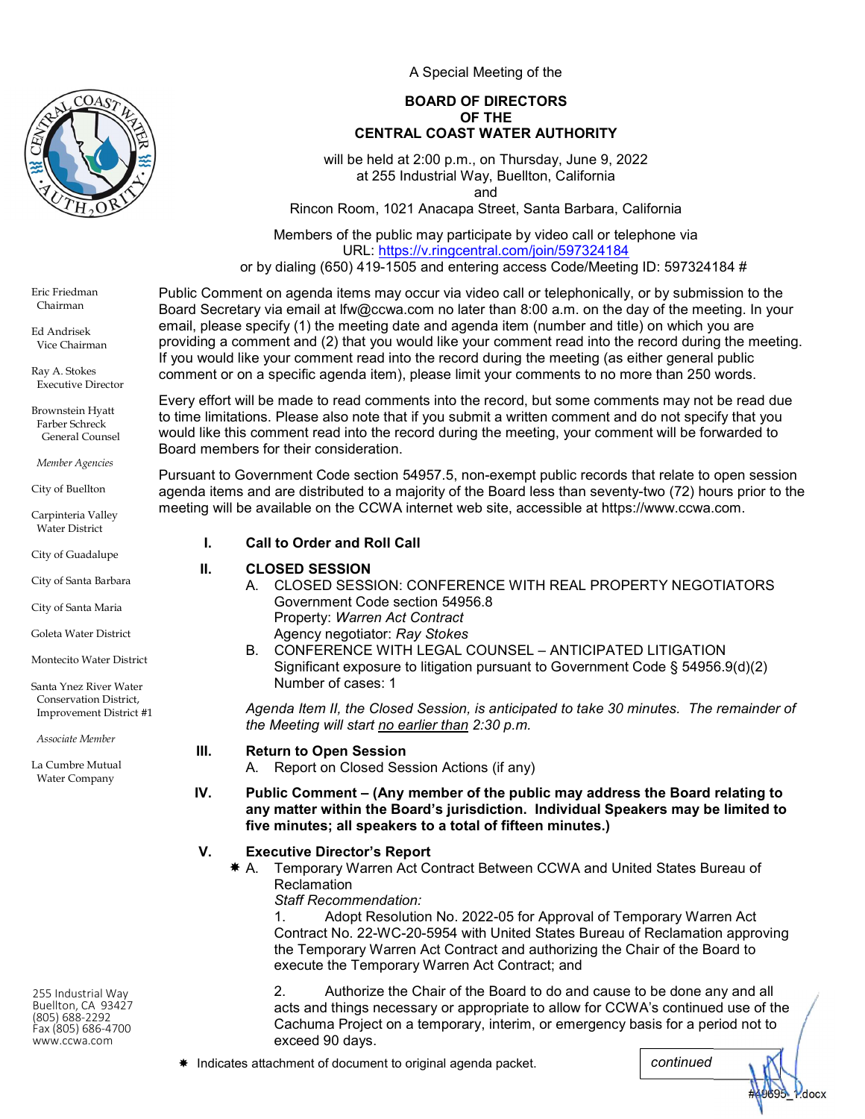

A Special Meeting of the

### BOARD OF DIRECTORS OF THE CENTRAL COAST WATER AUTHORITY

will be held at 2:00 p.m., on Thursday, June 9, 2022 at 255 Industrial Way, Buellton, California and

Rincon Room, 1021 Anacapa Street, Santa Barbara, California

Members of the public may participate by video call or telephone via URL: https://v.ringcentral.com/join/597324184

or by dialing (650) 419-1505 and entering access Code/Meeting ID: 597324184 #

Eric Friedman Chairman

Ed Andrisek Vice Chairman

Ray A. Stokes Executive Director

Brownstein Hyatt Farber Schreck General Counsel

Member Agencies

City of Buellton

Carpinteria Valley Water District

City of Guadalupe

City of Santa Barbara

City of Santa Maria

Goleta Water District

Montecito Water District

Santa Ynez River Water Conservation District, Improvement District #1

Associate Member

La Cumbre Mutual Water Company

255 Industrial Way Buellton, CA 93427 (805) 688-2292 Fax (805) 686-4700 www.ccwa.com

Public Comment on agenda items may occur via video call or telephonically, or by submission to the Board Secretary via email at lfw@ccwa.com no later than 8:00 a.m. on the day of the meeting. In your email, please specify (1) the meeting date and agenda item (number and title) on which you are providing a comment and (2) that you would like your comment read into the record during the meeting. If you would like your comment read into the record during the meeting (as either general public comment or on a specific agenda item), please limit your comments to no more than 250 words.

Every effort will be made to read comments into the record, but some comments may not be read due to time limitations. Please also note that if you submit a written comment and do not specify that you would like this comment read into the record during the meeting, your comment will be forwarded to Board members for their consideration.

Pursuant to Government Code section 54957.5, non-exempt public records that relate to open session agenda items and are distributed to a majority of the Board less than seventy-two (72) hours prior to the meeting will be available on the CCWA internet web site, accessible at https://www.ccwa.com.

## I. Call to Order and Roll Call

## II. CLOSED SESSION

- A. CLOSED SESSION: CONFERENCE WITH REAL PROPERTY NEGOTIATORS Government Code section 54956.8 Property: Warren Act Contract Agency negotiator: Ray Stokes
- B. CONFERENCE WITH LEGAL COUNSEL ANTICIPATED LITIGATION Significant exposure to litigation pursuant to Government Code § 54956.9(d)(2) Number of cases: 1

Agenda Item II, the Closed Session, is anticipated to take 30 minutes. The remainder of the Meeting will start no earlier than 2:30 p.m.

## III. Return to Open Session

A. Report on Closed Session Actions (if any)

IV. Public Comment – (Any member of the public may address the Board relating to any matter within the Board's jurisdiction. Individual Speakers may be limited to five minutes; all speakers to a total of fifteen minutes.)

# V. Executive Director's Report

 A. Temporary Warren Act Contract Between CCWA and United States Bureau of **Reclamation** 

Staff Recommendation:

1. Adopt Resolution No. 2022-05 for Approval of Temporary Warren Act Contract No. 22-WC-20-5954 with United States Bureau of Reclamation approving the Temporary Warren Act Contract and authorizing the Chair of the Board to execute the Temporary Warren Act Contract; and

2. Authorize the Chair of the Board to do and cause to be done any and all acts and things necessary or appropriate to allow for CCWA's continued use of the Cachuma Project on a temporary, interim, or emergency basis for a period not to exceed 90 days.

\* Indicates attachment of document to original agenda packet.  $\Box$  continued

M<sub>docx</sub>